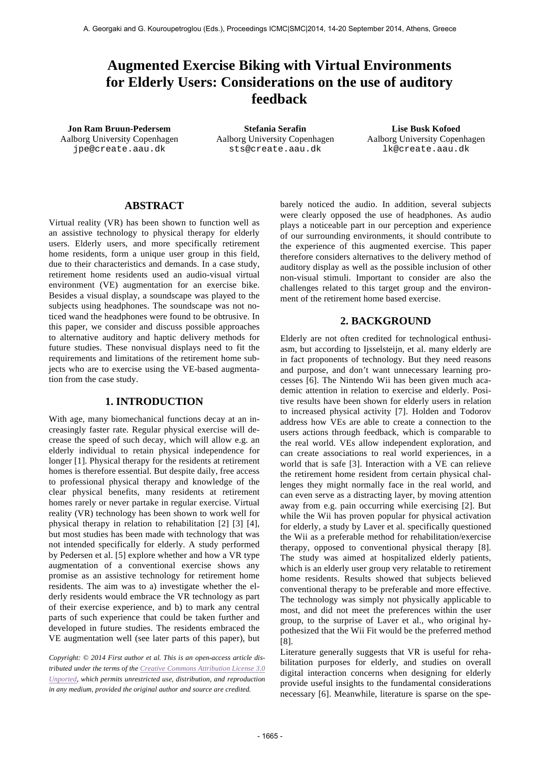# **Augmented Exercise Biking with Virtual Environments for Elderly Users: Considerations on the use of auditory feedback**

Aalborg University Copenhagen jpe@create.aau.dk

**Jon Ram Bruun-Pedersem Stefania Serafin Lise Busk Kofoed** Aalborg University Copenhagen sts@create.aau.dk

Aalborg University Copenhagen lk@create.aau.dk

## **ABSTRACT**

Virtual reality (VR) has been shown to function well as an assistive technology to physical therapy for elderly users. Elderly users, and more specifically retirement home residents, form a unique user group in this field, due to their characteristics and demands. In a case study, retirement home residents used an audio-visual virtual environment (VE) augmentation for an exercise bike. Besides a visual display, a soundscape was played to the subjects using headphones. The soundscape was not noticed wand the headphones were found to be obtrusive. In this paper, we consider and discuss possible approaches to alternative auditory and haptic delivery methods for future studies. These nonvisual displays need to fit the requirements and limitations of the retirement home subjects who are to exercise using the VE-based augmentation from the case study.

#### **1. INTRODUCTION**

With age, many biomechanical functions decay at an increasingly faster rate. Regular physical exercise will decrease the speed of such decay, which will allow e.g. an elderly individual to retain physical independence for longer [1]. Physical therapy for the residents at retirement homes is therefore essential. But despite daily, free access to professional physical therapy and knowledge of the clear physical benefits, many residents at retirement homes rarely or never partake in regular exercise. Virtual reality (VR) technology has been shown to work well for physical therapy in relation to rehabilitation [2] [3] [4], but most studies has been made with technology that was not intended specifically for elderly. A study performed by Pedersen et al. [5] explore whether and how a VR type augmentation of a conventional exercise shows any promise as an assistive technology for retirement home residents. The aim was to a) investigate whether the elderly residents would embrace the VR technology as part of their exercise experience, and b) to mark any central parts of such experience that could be taken further and developed in future studies. The residents embraced the VE augmentation well (see later parts of this paper), but

*Copyright: © 2014 First author et al. This is an open-access article distributed under the terms of the Creative Commons Attribution License 3.0 Unported, which permits unrestricted use, distribution, and reproduction in any medium, provided the original author and source are credited.*

barely noticed the audio. In addition, several subjects were clearly opposed the use of headphones. As audio plays a noticeable part in our perception and experience of our surrounding environments, it should contribute to the experience of this augmented exercise. This paper therefore considers alternatives to the delivery method of auditory display as well as the possible inclusion of other non-visual stimuli. Important to consider are also the challenges related to this target group and the environment of the retirement home based exercise.

## **2. BACKGROUND**

Elderly are not often credited for technological enthusiasm, but according to Ijsselsteijn, et al. many elderly are in fact proponents of technology. But they need reasons and purpose, and don't want unnecessary learning processes [6]. The Nintendo Wii has been given much academic attention in relation to exercise and elderly. Positive results have been shown for elderly users in relation to increased physical activity [7]. Holden and Todorov address how VEs are able to create a connection to the users actions through feedback, which is comparable to the real world. VEs allow independent exploration, and can create associations to real world experiences, in a world that is safe [3]. Interaction with a VE can relieve the retirement home resident from certain physical challenges they might normally face in the real world, and can even serve as a distracting layer, by moving attention away from e.g. pain occurring while exercising [2]. But while the Wii has proven popular for physical activation for elderly, a study by Laver et al. specifically questioned the Wii as a preferable method for rehabilitation/exercise therapy*,* opposed to conventional physical therapy [8]. The study was aimed at hospitalized elderly patients, which is an elderly user group very relatable to retirement home residents. Results showed that subjects believed conventional therapy to be preferable and more effective. The technology was simply not physically applicable to most, and did not meet the preferences within the user group, to the surprise of Laver et al., who original hypothesized that the Wii Fit would be the preferred method [8].

Literature generally suggests that VR is useful for rehabilitation purposes for elderly, and studies on overall digital interaction concerns when designing for elderly provide useful insights to the fundamental considerations necessary [6]. Meanwhile, literature is sparse on the spe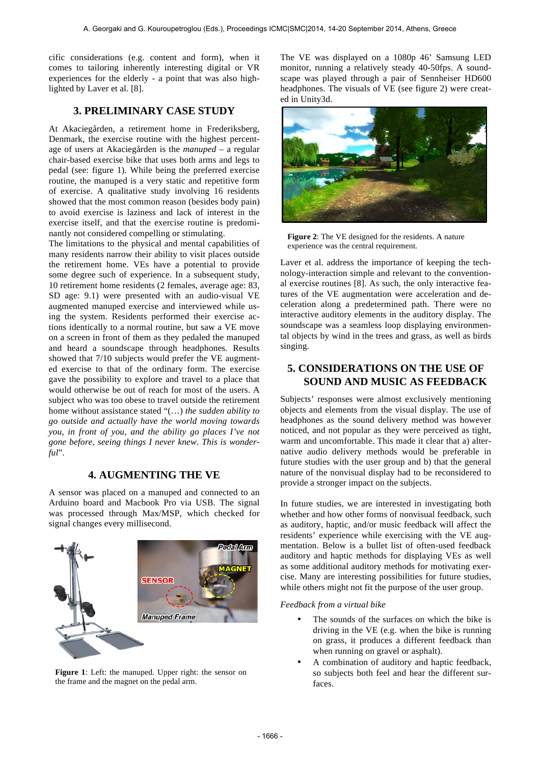cific considerations (e.g. content and form), when it comes to tailoring inherently interesting digital or VR experiences for the elderly - a point that was also highlighted by Laver et al. [8].

# **3. PRELIMINARY CASE STUDY**

At Akaciegården, a retirement home in Frederiksberg, Denmark, the exercise routine with the highest percentage of users at Akaciegården is the *manuped* – a regular chair-based exercise bike that uses both arms and legs to pedal (see: figure 1). While being the preferred exercise routine, the manuped is a very static and repetitive form of exercise. A qualitative study involving 16 residents showed that the most common reason (besides body pain) to avoid exercise is laziness and lack of interest in the exercise itself, and that the exercise routine is predominantly not considered compelling or stimulating.

The limitations to the physical and mental capabilities of many residents narrow their ability to visit places outside the retirement home. VEs have a potential to provide some degree such of experience. In a subsequent study, 10 retirement home residents (2 females, average age: 83, SD age: 9.1) were presented with an audio-visual VE augmented manuped exercise and interviewed while using the system. Residents performed their exercise actions identically to a normal routine, but saw a VE move on a screen in front of them as they pedaled the manuped and heard a soundscape through headphones. Results showed that 7/10 subjects would prefer the VE augmented exercise to that of the ordinary form. The exercise gave the possibility to explore and travel to a place that would otherwise be out of reach for most of the users. A subject who was too obese to travel outside the retirement home without assistance stated "(…) *the sudden ability to go outside and actually have the world moving towards you, in front of you, and the ability go places I've not gone before, seeing things I never knew. This is wonderful*".

# **4. AUGMENTING THE VE**

A sensor was placed on a manuped and connected to an Arduino board and Macbook Pro via USB. The signal was processed through Max/MSP, which checked for signal changes every millisecond.



**Figure 1**: Left: the manuped. Upper right: the sensor on the frame and the magnet on the pedal arm.

The VE was displayed on a 1080p 46' Samsung LED monitor, running a relatively steady 40-50fps. A soundscape was played through a pair of Sennheiser HD600 headphones. The visuals of VE (see figure 2) were created in Unity3d.



**Figure 2**: The VE designed for the residents. A nature experience was the central requirement.

Laver et al. address the importance of keeping the technology-interaction simple and relevant to the conventional exercise routines [8]. As such, the only interactive features of the VE augmentation were acceleration and deceleration along a predetermined path. There were no interactive auditory elements in the auditory display. The soundscape was a seamless loop displaying environmental objects by wind in the trees and grass, as well as birds singing.

# **5. CONSIDERATIONS ON THE USE OF SOUND AND MUSIC AS FEEDBACK**

Subjects' responses were almost exclusively mentioning objects and elements from the visual display. The use of headphones as the sound delivery method was however noticed, and not popular as they were perceived as tight, warm and uncomfortable. This made it clear that a) alternative audio delivery methods would be preferable in future studies with the user group and b) that the general nature of the nonvisual display had to be reconsidered to provide a stronger impact on the subjects.

In future studies, we are interested in investigating both whether and how other forms of nonvisual feedback, such as auditory, haptic, and/or music feedback will affect the residents' experience while exercising with the VE augmentation. Below is a bullet list of often-used feedback auditory and haptic methods for displaying VEs as well as some additional auditory methods for motivating exercise. Many are interesting possibilities for future studies, while others might not fit the purpose of the user group.

*Feedback from a virtual bike*

- The sounds of the surfaces on which the bike is driving in the VE (e.g. when the bike is running on grass, it produces a different feedback than when running on gravel or asphalt).
- A combination of auditory and haptic feedback, so subjects both feel and hear the different surfaces.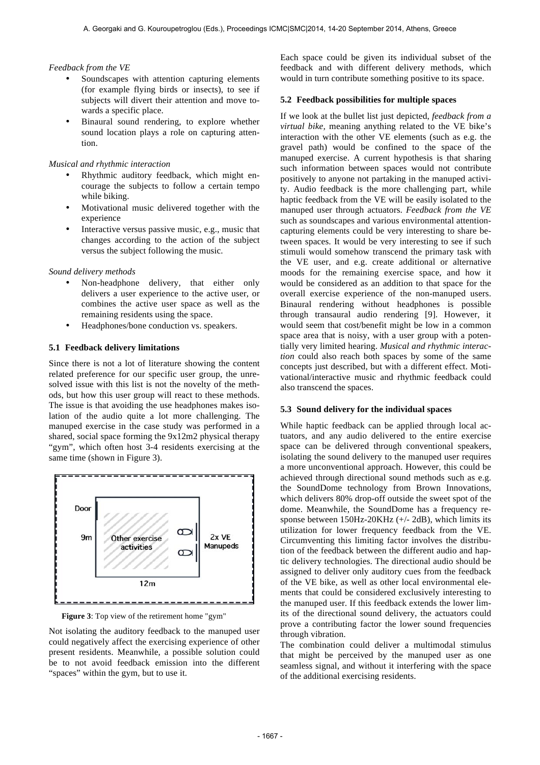#### *Feedback from the VE*

- Soundscapes with attention capturing elements (for example flying birds or insects), to see if subjects will divert their attention and move towards a specific place.
- Binaural sound rendering, to explore whether sound location plays a role on capturing attention.

#### *Musical and rhythmic interaction*

- Rhythmic auditory feedback, which might encourage the subjects to follow a certain tempo while biking.
- Motivational music delivered together with the experience
- Interactive versus passive music, e.g., music that changes according to the action of the subject versus the subject following the music.

#### *Sound delivery methods*

- Non-headphone delivery, that either only delivers a user experience to the active user, or combines the active user space as well as the remaining residents using the space.
- Headphones/bone conduction vs. speakers.

#### **5.1 Feedback delivery limitations**

Since there is not a lot of literature showing the content related preference for our specific user group, the unresolved issue with this list is not the novelty of the methods, but how this user group will react to these methods. The issue is that avoiding the use headphones makes isolation of the audio quite a lot more challenging. The manuped exercise in the case study was performed in a shared, social space forming the 9x12m2 physical therapy "gym", which often host 3-4 residents exercising at the same time (shown in Figure 3).



**Figure 3**: Top view of the retirement home "gym"

Not isolating the auditory feedback to the manuped user could negatively affect the exercising experience of other present residents. Meanwhile, a possible solution could be to not avoid feedback emission into the different "spaces" within the gym, but to use it.

Each space could be given its individual subset of the feedback and with different delivery methods, which would in turn contribute something positive to its space.

#### **5.2 Feedback possibilities for multiple spaces**

If we look at the bullet list just depicted, *feedback from a virtual bike,* meaning anything related to the VE bike's interaction with the other VE elements (such as e.g. the gravel path) would be confined to the space of the manuped exercise. A current hypothesis is that sharing such information between spaces would not contribute positively to anyone not partaking in the manuped activity. Audio feedback is the more challenging part, while haptic feedback from the VE will be easily isolated to the manuped user through actuators. *Feedback from the VE* such as soundscapes and various environmental attentioncapturing elements could be very interesting to share between spaces. It would be very interesting to see if such stimuli would somehow transcend the primary task with the VE user, and e.g. create additional or alternative moods for the remaining exercise space, and how it would be considered as an addition to that space for the overall exercise experience of the non-manuped users. Binaural rendering without headphones is possible through transaural audio rendering [9]. However, it would seem that cost/benefit might be low in a common space area that is noisy, with a user group with a potentially very limited hearing. *Musical and rhythmic interaction* could also reach both spaces by some of the same concepts just described, but with a different effect. Motivational/interactive music and rhythmic feedback could also transcend the spaces.

#### **5.3 Sound delivery for the individual spaces**

While haptic feedback can be applied through local actuators, and any audio delivered to the entire exercise space can be delivered through conventional speakers, isolating the sound delivery to the manuped user requires a more unconventional approach. However, this could be achieved through directional sound methods such as e.g. the SoundDome technology from Brown Innovations, which delivers 80% drop-off outside the sweet spot of the dome. Meanwhile, the SoundDome has a frequency response between 150Hz-20KHz (+/- 2dB), which limits its utilization for lower frequency feedback from the VE. Circumventing this limiting factor involves the distribution of the feedback between the different audio and haptic delivery technologies. The directional audio should be assigned to deliver only auditory cues from the feedback of the VE bike, as well as other local environmental elements that could be considered exclusively interesting to the manuped user. If this feedback extends the lower limits of the directional sound delivery, the actuators could prove a contributing factor the lower sound frequencies through vibration.

The combination could deliver a multimodal stimulus that might be perceived by the manuped user as one seamless signal, and without it interfering with the space of the additional exercising residents.